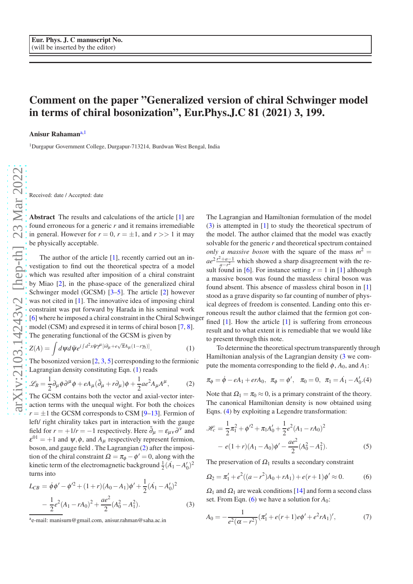## Comment on the paper "Generalized version of chiral Schwinger model in terms of chiral bosonization", Eur.Phys.J.C 81 (2021) 3, 199.

Anisur Rahaman<sup>[a,](#page-0-0)1</sup>

<sup>1</sup>Durgapur Government College, Durgapur-713214, Burdwan West Bengal, India

Received: date / Accepted: date

Abstract The results and calculations of the article [\[1\]](#page-2-0) are found erroneous for a generic *r* and it remains irremediable in general. However for  $r = 0$ ,  $r = \pm 1$ , and  $r >> 1$  it may be physically acceptable.

The author of the article [\[1\]](#page-2-0), recently carried out an investigation to find out the theoretical spectra of a model which was resulted after imposition of a chiral constraint by Miao [\[2\]](#page-2-1), in the phase-space of the generalized chiral Schwinger model (GCSM) [\[3](#page-2-2)[–5\]](#page-2-3). The article [\[2\]](#page-2-1) however was not cited in [\[1\]](#page-2-0). The innovative idea of imposing chiral constraint was put forward by Harada in his seminal work [\[6\]](#page-2-4) where he imposed a chiral constraint in the Chiral Schwinger model (CSM) and expresed it in terms of chiral boson [\[7,](#page-2-5) [8](#page-2-6)]. The generating functional of the GCSM is given by

<span id="page-0-1"></span>
$$
Z(A) = \int d\psi d\bar{\psi} e^{i\int d^2x \bar{\psi} \gamma^{\mu} [i\partial_{\mu} + e\sqrt{\pi}A_{\mu}(1-r\gamma_{5})]}.
$$
 (1)

The bosonized version  $[2, 3, 5]$  $[2, 3, 5]$  $[2, 3, 5]$  $[2, 3, 5]$  corresponding to the fermionic Lagrangian density constituting Eqn. [\(1\)](#page-0-1) reads

<span id="page-0-2"></span>
$$
\mathcal{L}_B = \frac{1}{2} \partial_\mu \phi \partial^\mu \phi + e A_\mu (\tilde{\partial}_\mu + r \partial_\mu) \phi + \frac{1}{2} a e^2 A_\mu A^\mu, \tag{2}
$$

The GCSM contains both the vector and axial-vector interaction terms with the unequal wight. For both the choices  $r = \pm 1$  the GCSM corresponds to CSM [\[9](#page-2-7)[–13](#page-2-8)]. Fermion of left/ right chirality takes part in interaction with the gauge field for  $r = +1/r = -1$  respectively. Here  $\tilde{\partial}_{\mu} = \varepsilon_{\mu\nu} \partial^{\nu}$  and  $\varepsilon^{01} = +1$  and  $\psi, \phi$ , and  $A_{\mu}$  respectively represent fermion, boson, and gauge field . The Lagrangian [\(2\)](#page-0-2) after the imposition of the chiral constraint  $\Omega = \pi_{\phi} - \phi' = 0$ , along with the kinetic term of the electromagnetic background  $\frac{1}{2}(A_1 - A'_0)^2$ turns into

<span id="page-0-3"></span>
$$
L_{CB} = \dot{\phi}\phi' - \phi'^2 + (1+r)(A_0 - A_1)\phi' + \frac{1}{2}(\dot{A_1} - A'_0)^2
$$

$$
-\frac{1}{2}e^2(A_1 - rA_0)^2 + \frac{ae^2}{2}(A_0^2 - A_1^2). \tag{3}
$$

The Lagrangian and Hamiltonian formulation of the model [\(3\)](#page-0-3) is attempted in [\[1\]](#page-2-0) to study the theoretical spectrum of the model. The author claimed that the model was exactly solvable for the generic *r* and theoretical spectrum contained *only a massive boson* with the square of the mass  $m^2 =$  $ae^{2} \frac{r^2+a-1}{a-r^2}$  which showed a sharp disagreement with the reaction  $a-r^2$  which showed a sharp disagreement while the sult found in [\[6\]](#page-2-4). For instance setting  $r = 1$  in [\[1](#page-2-0)] although a massive boson was found the massless chiral boson was found absent. This absence of massless chiral boson in [\[1\]](#page-2-0) stood as a grave disparity so far counting of number of physical degrees of freedom is consented. Landing onto this erroneous result the author claimed that the fermion got confined [\[1](#page-2-0)]. How the article [\[1](#page-2-0)] is suffering from erroneous result and to what extent it is remediable that we would like to present through this note.

To determine the theoretical spectrum transparently through Hamiltonian analysis of the Lagrangian density [\(3](#page-0-3) we compute the momenta corresponding to the field  $\phi$ ,  $A_0$ , and  $A_1$ :

<span id="page-0-4"></span>
$$
\pi_{\phi} = \dot{\phi} - eA_1 + erA_0, \quad \pi_{\phi} = \phi', \quad \pi_0 = 0, \quad \pi_1 = \dot{A_1} - A'_0
$$
 (4)

Note that  $\Omega_1 = \pi_0 \approx 0$ , is a primary constraint of the theory. The canonical Hamiltonian density is now obtained using Eqns. [\(4\)](#page-0-4) by exploiting a Legendre transformation:

<span id="page-0-7"></span>
$$
\mathcal{H}_c = \frac{1}{2}\pi_1^2 + \phi'^2 + \pi_1 A'_0 + \frac{1}{2}e^2(A_1 - rA_0)^2
$$

$$
- e(1+r)(A_1 - A_0)\phi' - \frac{ae^2}{2}(A_0^2 - A_1^2). \tag{5}
$$

The preservation of  $\Omega_1$  results a secondary constraint

<span id="page-0-5"></span>
$$
\Omega_2 = \pi_1' + e^2((a - r^2)A_0 + rA_1) + e(r+1)\phi' \approx 0. \tag{6}
$$

 $\Omega_1$  and  $\Omega_1$  are weak conditions [\[14](#page-2-9)] and form a second class set. From Eqn. [\(6\)](#page-0-5) we have a solution for  $A_0$ :

<span id="page-0-6"></span>
$$
A_0 = -\frac{1}{e^2(\alpha - r^2)} (\pi_1' + e(r+1)e\phi' + e^2 r A_1)', \tag{7}
$$

<span id="page-0-0"></span>a e-mail: manisurn@gmail.com, anisur.rahman@saha.ac.in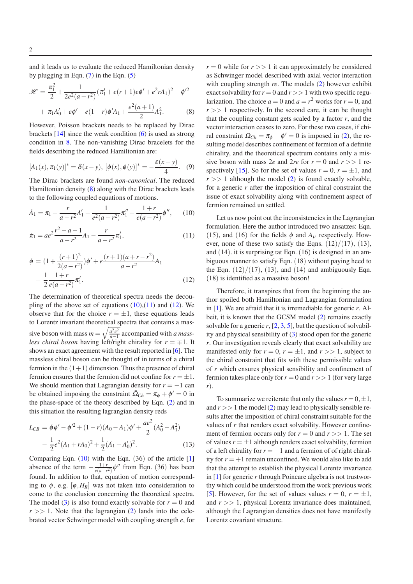and it leads us to evaluate the reduced Hamiltonian density by plugging in Eqn.  $(7)$  in the Eqn.  $(5)$ 

<span id="page-1-0"></span>
$$
\mathcal{H} = \frac{\pi_1^2}{2} + \frac{1}{2e^2(a - r^2)} (\pi_1' + e(r + 1)e\phi' + e^2 r A_1)^2 + \phi'^2
$$

$$
+ \pi_1 A_0' + e\phi' - e(1 + r)\phi' A_1 + \frac{e^2(a + 1)}{2} A_1^2.
$$
 (8)

However, Poisson brackets needs to be replaced by Dirac brackets  $[14]$  since the weak condition  $(6)$  is used as strong condition in [8.](#page-1-0) The non-vanishing Dirac bracelets for the fields describing the reduced Hamiltonian are:

$$
[A_1(x), \pi_1(y)]^* = \delta(x - y), \, [\phi(x), \phi(y)]^* = -\frac{\varepsilon(x - y)}{4}.
$$
 (9)

The Dirac brackets are found *non-canonical*. The reduced Hamiltonian density [\(8\)](#page-1-0) along with the Dirac brackets leads to the following coupled equations of motions.

<span id="page-1-1"></span>
$$
\dot{A}_1 = \pi_1 - \frac{r}{a - r^2} A'_1 - \frac{1}{e^2(a - r^2)} \pi_1'' - \frac{1 + r}{e(a - r^2)} \phi'', \qquad (10)
$$

<span id="page-1-2"></span>
$$
\dot{\pi}_1 = ae^2 \frac{r^2 - a - 1}{a - r^2} A_1 - \frac{r}{a - r^2} \pi'_1,\tag{11}
$$

<span id="page-1-3"></span>
$$
\dot{\phi} = (1 + \frac{(r+1)^2}{2(a-r^2)})\phi' + e^{\frac{(r+1)(a+r-r^2)}{a-r^2}}A_1
$$

$$
-\frac{1}{2}\frac{1+r}{e(a-r^2)}\pi_1'.\tag{12}
$$

The determination of theoretical spectra needs the decoupling of the above set of equations  $(10),(11)$  $(10),(11)$  and  $(12)$ . We observe that for the choice  $r = \pm 1$ , these equations leads to Lorentz invariant theoretical spectra that contains a massive boson with mass  $m = \sqrt{\frac{a^2 e^2}{a-1}}$  $\frac{a^2e^2}{a-1}$  accompanied with *a massless chiral boson* having left/right chirality for  $r = \pm 1$ . It shows an exact agreement with the result reported in [\[6\]](#page-2-4). The massless chiral boson can be thought of in terms of a chiral fermion in the  $(1+1)$  dimension. Thus the presence of chiral fermion ensures that the fermion did not confine for  $r = \pm 1$ . We should mention that Lagrangian density for  $r = -1$  can be obtained imposing the constraint  $\tilde{\Omega}_{Ch} = \pi_{\phi} + \phi' = 0$  in the phase-space of the theory described by Eqn. [\(2\)](#page-0-2) and in this situation the resulting lagrangian density reds

$$
L_{CB} = \dot{\phi}\phi' - \phi'^2 + (1 - r)(A_0 - A_1)\phi' + \frac{ae^2}{2}(A_0^2 - A_1^2)
$$

$$
- \frac{1}{2}e^2(A_1 + rA_0)^2 + \frac{1}{2}(\dot{A_1} - A_0')^2. \tag{13}
$$

Comparing Eqn. [\(10\)](#page-1-1) with the Eqn. (36) of the article [\[1\]](#page-2-0) absence of the term  $-\frac{1+r}{e(a-r)}$  $\frac{1+r}{e(a-r^2)}\phi''$  from Eqn. (36) has been found. In addition to that, equation of motion corresponding to  $\phi$ , e.g.  $[\phi, H_R]$  was not taken into consideration to come to the conclusion concerning the theoretical spectra. The model [\(3\)](#page-0-3) is also found exactly solvable for  $r = 0$  and  $r \gg 1$ . Note that the lagrangian [\(2\)](#page-0-2) lands into the celebrated vector Schwinger model with coupling strength *e*, for  $r = 0$  while for  $r \gg 1$  it can approximately be considered as Schwinger model described with axial vector interaction with coupling strength *re*. The models [\(2\)](#page-0-2) however exhibit exact solvability for  $r = 0$  and  $r >> 1$  with two specific regularization. The choice  $a = 0$  and  $a = r^2$  works for  $r = 0$ , and  $r \gg 1$  respectively. In the second care, it can be thought that the coupling constant gets scaled by a factor  $r$ , and the vector interaction ceases to zero. For these two cases, if chiral constraint  $\Omega_{Ch} = \pi_{\phi} - \phi' = 0$  is imposed in [\(2\)](#page-0-2), the resulting model describes confinement of fermion of a definite chirality, and the theoretical spectrum contains only a missive boson with mass 2*e* and 2*re* for  $r = 0$  and  $r >> 1$  re-spectively [\[15\]](#page-2-10). So for the set of values  $r = 0$ ,  $r = \pm 1$ , and  $r \gg 1$  although the model [\(2\)](#page-0-2) is found exactly solvable, for a generic *r* after the imposition of chiral constraint the issue of exact solvability along with confinement aspect of fermion remained un settled.

Let us now point out the inconsistencies in the Lagrangian formulation. Here the author introduced two ansatzes: Eqn. (15), and (16) for the fields  $\phi$  and  $A_{\mu}$  respectively. However, none of these two satisfy the Eqns.  $(12)/(17)$ ,  $(13)$ , and (14). it is surprising tat Eqn. (16) is designed in an ambiguous manner to satisfy Eqn. (18) without paying heed to the Eqn.  $(12)/(17)$ ,  $(13)$ , and  $(14)$  and ambiguously Eqn. (18) is identified as a massive boson!

Therefore, it transpires that from the beginning the author spoiled both Hamiltonian and Lagrangian formulation in [\[1\]](#page-2-0). We are afraid that it is irremediable for generic *r*. Albeit, it is known that the GCSM model [\(2\)](#page-0-2) remains exactly solvable for a generic  $r$ ,  $[2, 3, 5]$  $[2, 3, 5]$  $[2, 3, 5]$  $[2, 3, 5]$ , but the question of solvability and physical sensibility of [\(3\)](#page-0-3) stood open for the generic *r*. Our investigation reveals clearly that exact solvability are manifested only for  $r = 0$ ,  $r = \pm 1$ , and  $r >> 1$ , subject to the chiral constraint that fits with these permissible values of *r* which ensures physical sensibility and confinement of fermion takes place only for  $r = 0$  and  $r >> 1$  (for very large *r*).

To summarize we reiterate that only the values  $r = 0, \pm 1$ , and  $r \gg 1$  the model [\(2\)](#page-0-2) may lead to physically sensible results after the imposition of chiral constraint suitable for the values of *r* that renders exact solvability. However confinement of fermion occurs only for  $r = 0$  and  $r >> 1$ . The set of values  $r = \pm 1$  although renders exact solvability, fermion of a left chirality for  $r = -1$  and a fermion of of right chirality for  $r = +1$  remain unconfined. We would also like to add that the attempt to establish the physical Lorentz invariance in [\[1\]](#page-2-0) for generic *r* through Poincare algebra is not trustworthy which could be understood from the work previous work [\[5\]](#page-2-3). However, for the set of values values  $r = 0$ ,  $r = \pm 1$ , and *r* >> 1, physical Lorentz invariance does maintained, although the Lagrangian densities does not have manifestly Lorentz covariant structure.